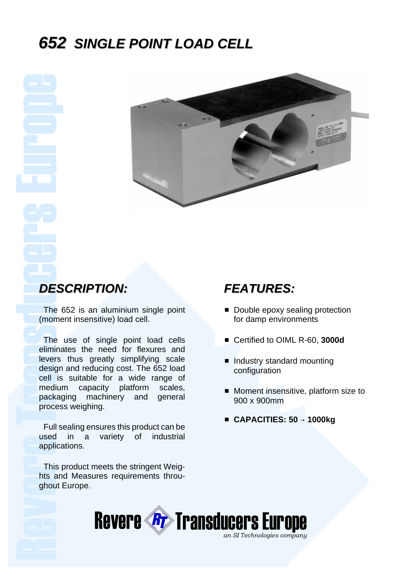# *652 SINGLE POINT LOAD CELL*



## *DESCRIPTION:*

 The 652 is an aluminium single point (moment insensitive) load cell.

 The use of single point load cells eliminates the need for flexures and levers thus greatly simplifying scale design and reducing cost. The 652 load cell is suitable for a wide range of medium capacity platform scales, packaging machinery and general process weighing.

 Full sealing ensures this product can be used in a variety of industrial applications.

 This product meets the stringent Weights and Measures requirements throughout Europe.

### *FEATURES:*

- **Double epoxy sealing protection** for damp environments
- Certified to OIML R-60, 3000d
- **Industry standard mounting** configuration
- **Moment insensitive, platform size to** 900 x 900mm
- CAPACITIES: 50 → 1000kg